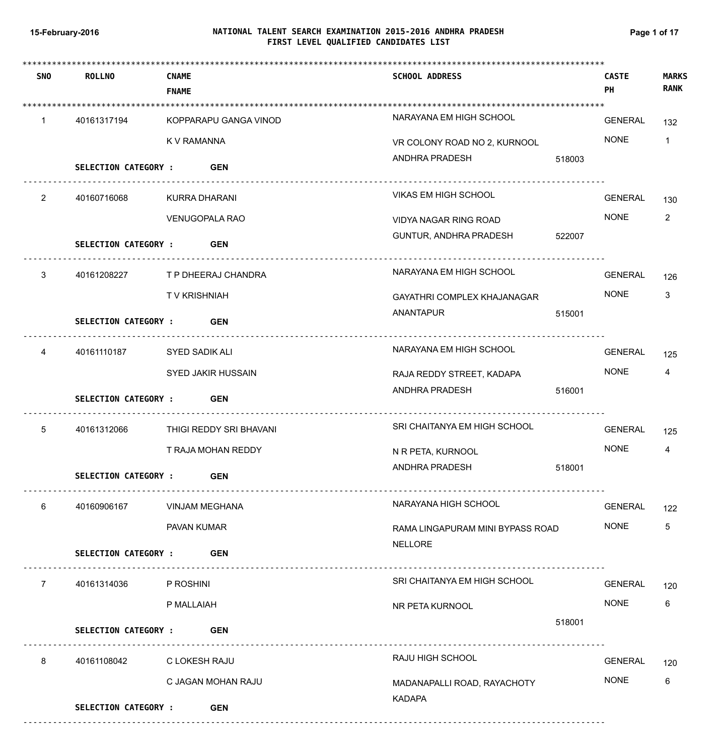# **NATIONAL TALENT SEARCH EXAMINATION 2015-2016 ANDHRA PRADESH 15-February-2016 Page 1 of 17 FIRST LEVEL QUALIFIED CANDIDATES LIST**

| <b>SNO</b>           | <b>ROLLNO</b>               | <b>CNAME</b><br><b>FNAME</b> | <b>SCHOOL ADDRESS</b>            | <b>CASTE</b><br>PH | <b>MARKS</b><br><b>RANK</b> |
|----------------------|-----------------------------|------------------------------|----------------------------------|--------------------|-----------------------------|
| 1                    | 40161317194                 | KOPPARAPU GANGA VINOD        | NARAYANA EM HIGH SCHOOL          | GENERAL            | 132                         |
|                      |                             | K V RAMANNA                  | VR COLONY ROAD NO 2, KURNOOL     | <b>NONE</b>        | $\mathbf{1}$                |
|                      | SELECTION CATEGORY : GEN    |                              | ANDHRA PRADESH<br>518003         |                    |                             |
| $\mathbf{2}^{\circ}$ | 40160716068                 | KURRA DHARANI                | VIKAS EM HIGH SCHOOL             | <b>GENERAL</b>     | 130                         |
|                      |                             | <b>VENUGOPALA RAO</b>        | VIDYA NAGAR RING ROAD            | <b>NONE</b>        | $\overline{2}$              |
|                      | <b>SELECTION CATEGORY :</b> | <b>GEN</b>                   | GUNTUR, ANDHRA PRADESH<br>522007 |                    |                             |
| 3                    | 40161208227                 | T P DHEERAJ CHANDRA          | NARAYANA EM HIGH SCHOOL          | <b>GENERAL</b>     | 126                         |
|                      |                             | TV KRISHNIAH                 | GAYATHRI COMPLEX KHAJANAGAR      | <b>NONE</b>        | 3                           |
|                      | <b>SELECTION CATEGORY :</b> | <b>GEN</b>                   | ANANTAPUR<br>515001              |                    |                             |
| 4                    | 40161110187                 | SYED SADIK ALI               | NARAYANA EM HIGH SCHOOL          | <b>GENERAL</b>     | 125                         |
|                      |                             | SYED JAKIR HUSSAIN           | RAJA REDDY STREET, KADAPA        | <b>NONE</b>        | 4                           |
|                      | <b>SELECTION CATEGORY :</b> | <b>GEN</b>                   | ANDHRA PRADESH<br>516001         |                    |                             |
| 5                    | 40161312066                 | THIGI REDDY SRI BHAVANI      | SRI CHAITANYA EM HIGH SCHOOL     | <b>GENERAL</b>     | 125                         |
|                      |                             | T RAJA MOHAN REDDY           | N R PETA, KURNOOL                | <b>NONE</b>        | 4                           |
|                      | <b>SELECTION CATEGORY:</b>  | <b>GEN</b>                   | ANDHRA PRADESH<br>518001         |                    |                             |
| 6                    | 40160906167                 | <b>VINJAM MEGHANA</b>        | NARAYANA HIGH SCHOOL             | GENERAL            | 122                         |
|                      |                             | PAVAN KUMAR                  | RAMA LINGAPURAM MINI BYPASS ROAD | <b>NONE</b>        | 5                           |
|                      | <b>SELECTION CATEGORY :</b> | <b>GEN</b>                   | <b>NELLORE</b>                   |                    |                             |
| $\overline{7}$       | 40161314036                 | P ROSHINI                    | SRI CHAITANYA EM HIGH SCHOOL     | <b>GENERAL</b>     | 120                         |
|                      |                             | P MALLAIAH                   | NR PETA KURNOOL                  | <b>NONE</b>        | 6                           |
|                      | SELECTION CATEGORY : GEN    |                              | 518001                           |                    |                             |
| 8                    | 40161108042                 | C LOKESH RAJU                | RAJU HIGH SCHOOL                 | <b>GENERAL</b>     | 120                         |
|                      |                             | C JAGAN MOHAN RAJU           | MADANAPALLI ROAD, RAYACHOTY      | <b>NONE</b>        | 6                           |
|                      | <b>SELECTION CATEGORY :</b> | <b>GEN</b>                   | <b>KADAPA</b>                    |                    |                             |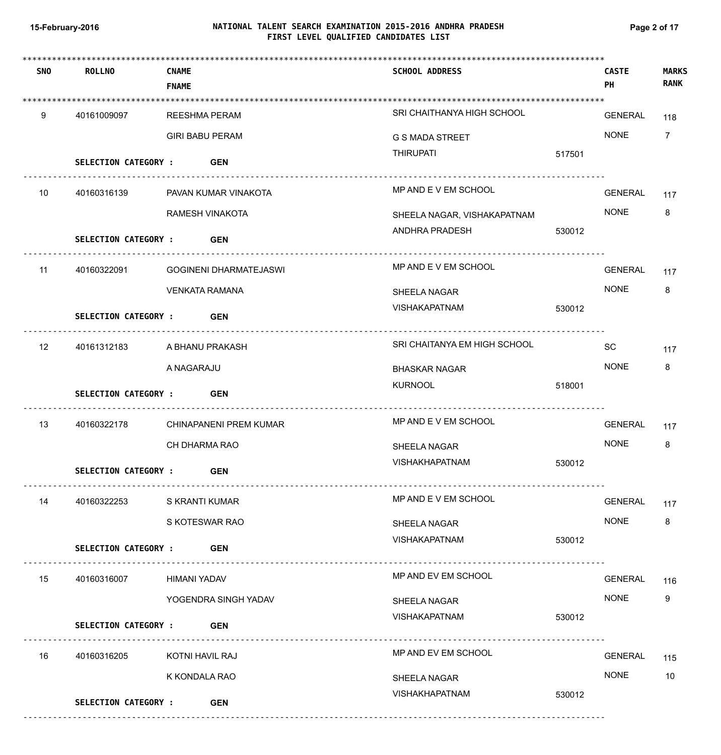# **NATIONAL TALENT SEARCH EXAMINATION 2015-2016 ANDHRA PRADESH 15-February-2016 Page 2 of 17 FIRST LEVEL QUALIFIED CANDIDATES LIST**

| <b>SNO</b> | <b>ROLLNO</b>               | <b>CNAME</b><br><b>FNAME</b> |                               | <b>SCHOOL ADDRESS</b>        |        | <b>CASTE</b><br>PH | <b>MARKS</b><br><b>RANK</b> |
|------------|-----------------------------|------------------------------|-------------------------------|------------------------------|--------|--------------------|-----------------------------|
| 9          | 40161009097                 |                              | <b>REESHMA PERAM</b>          | SRI CHAITHANYA HIGH SCHOOL   |        | GENERAL            | 118                         |
|            |                             |                              | <b>GIRI BABU PERAM</b>        | <b>G S MADA STREET</b>       |        | <b>NONE</b>        | $\overline{7}$              |
|            | SELECTION CATEGORY : GEN    |                              |                               | <b>THIRUPATI</b>             | 517501 |                    |                             |
| 10         | 40160316139                 |                              | PAVAN KUMAR VINAKOTA          | MP AND E V EM SCHOOL         |        | <b>GENERAL</b>     | 117                         |
|            |                             |                              | RAMESH VINAKOTA               | SHEELA NAGAR, VISHAKAPATNAM  |        | <b>NONE</b>        | 8                           |
|            | <b>SELECTION CATEGORY :</b> |                              | <b>GEN</b>                    | ANDHRA PRADESH               | 530012 |                    |                             |
| 11         | 40160322091                 |                              | <b>GOGINENI DHARMATEJASWI</b> | MP AND E V EM SCHOOL         |        | <b>GENERAL</b>     | 117                         |
|            |                             |                              | <b>VENKATA RAMANA</b>         | SHEELA NAGAR                 |        | <b>NONE</b>        | 8                           |
|            | <b>SELECTION CATEGORY :</b> |                              | <b>GEN</b>                    | VISHAKAPATNAM                | 530012 |                    |                             |
| 12         | 40161312183                 |                              | A BHANU PRAKASH               | SRI CHAITANYA EM HIGH SCHOOL |        | SC                 | 117                         |
|            |                             | A NAGARAJU                   |                               | <b>BHASKAR NAGAR</b>         |        | <b>NONE</b>        | 8                           |
|            | <b>SELECTION CATEGORY :</b> |                              | <b>GEN</b>                    | <b>KURNOOL</b>               | 518001 |                    |                             |
| 13         | 40160322178                 |                              | CHINAPANENI PREM KUMAR        | MP AND E V EM SCHOOL         |        | <b>GENERAL</b>     | 117                         |
|            |                             |                              | CH DHARMA RAO                 | <b>SHEELA NAGAR</b>          |        | <b>NONE</b>        | 8                           |
|            | <b>SELECTION CATEGORY:</b>  |                              | <b>GEN</b>                    | <b>VISHAKHAPATNAM</b>        | 530012 |                    |                             |
| 14         | 40160322253                 | S KRANTI KUMAR               |                               | MP AND E V EM SCHOOL         |        | GENERAL            | 117                         |
|            |                             |                              | S KOTESWAR RAO                | <b>SHEELA NAGAR</b>          |        | <b>NONE</b>        | 8                           |
|            | <b>SELECTION CATEGORY :</b> |                              | <b>GEN</b>                    | <b>VISHAKAPATNAM</b>         | 530012 |                    |                             |
| 15         | 40160316007                 | HIMANI YADAV                 |                               | MP AND EV EM SCHOOL          |        | <b>GENERAL</b>     | 116                         |
|            |                             |                              | YOGENDRA SINGH YADAV          | SHEELA NAGAR                 |        | <b>NONE</b>        | 9                           |
|            | <b>SELECTION CATEGORY :</b> |                              | <b>GEN</b>                    | VISHAKAPATNAM                | 530012 |                    |                             |
| 16         | 40160316205                 | KOTNI HAVIL RAJ              |                               | MP AND EV EM SCHOOL          |        | <b>GENERAL</b>     | 115                         |
|            |                             | K KONDALA RAO                |                               | <b>SHEELA NAGAR</b>          |        | <b>NONE</b>        | 10                          |
|            | <b>SELECTION CATEGORY :</b> |                              | <b>GEN</b>                    | VISHAKHAPATNAM               | 530012 |                    |                             |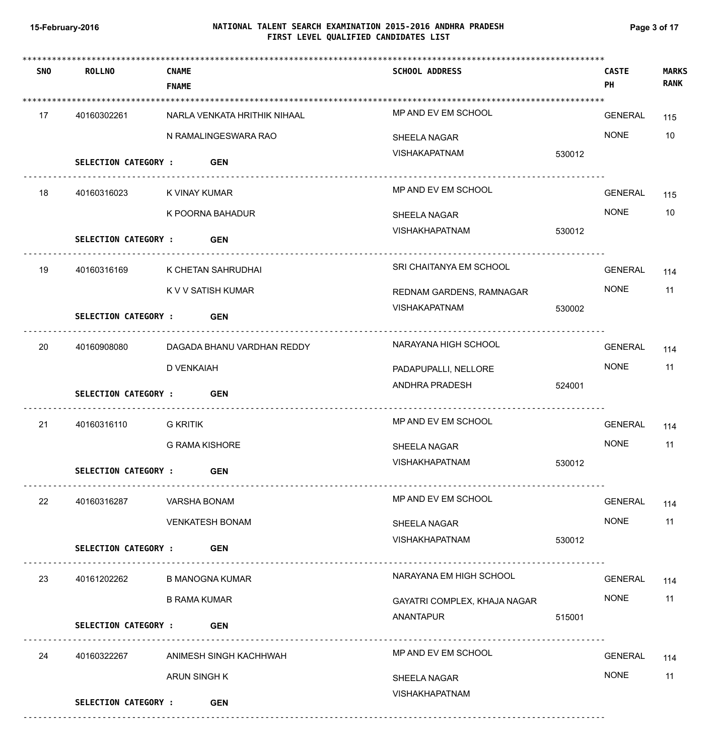# **NATIONAL TALENT SEARCH EXAMINATION 2015-2016 ANDHRA PRADESH 15-February-2016 Page 3 of 17 FIRST LEVEL QUALIFIED CANDIDATES LIST**

| <b>SNO</b> | <b>ROLLNO</b>               | <b>CNAME</b><br><b>FNAME</b> | <b>SCHOOL ADDRESS</b>        | <b>CASTE</b><br>PH | <b>MARKS</b><br><b>RANK</b> |
|------------|-----------------------------|------------------------------|------------------------------|--------------------|-----------------------------|
| 17         | 40160302261                 | NARLA VENKATA HRITHIK NIHAAL | MP AND EV EM SCHOOL          | GENERAL            | 115                         |
|            |                             | N RAMALINGESWARA RAO         | SHEELA NAGAR                 | <b>NONE</b>        | 10                          |
|            | <b>SELECTION CATEGORY :</b> | <b>GEN</b>                   | VISHAKAPATNAM                | 530012             |                             |
| 18         | 40160316023                 | K VINAY KUMAR                | MP AND EV EM SCHOOL          | GENERAL            | 115                         |
|            |                             | K POORNA BAHADUR             | SHEELA NAGAR                 | <b>NONE</b>        | 10                          |
|            | <b>SELECTION CATEGORY :</b> | <b>GEN</b>                   | VISHAKHAPATNAM               | 530012             |                             |
| 19         | 40160316169                 | K CHETAN SAHRUDHAI           | SRI CHAITANYA EM SCHOOL      | <b>GENERAL</b>     | 114                         |
|            |                             | K V V SATISH KUMAR           | REDNAM GARDENS, RAMNAGAR     | <b>NONE</b>        | 11                          |
|            | <b>SELECTION CATEGORY :</b> | <b>GEN</b>                   | VISHAKAPATNAM                | 530002             |                             |
| 20         | 40160908080                 | DAGADA BHANU VARDHAN REDDY   | NARAYANA HIGH SCHOOL         | <b>GENERAL</b>     | 114                         |
|            |                             | D VENKAIAH                   | PADAPUPALLI, NELLORE         | <b>NONE</b>        | 11                          |
|            | <b>SELECTION CATEGORY :</b> | <b>GEN</b>                   | ANDHRA PRADESH               | 524001             |                             |
| 21         | 40160316110                 | G KRITIK                     | MP AND EV EM SCHOOL          | <b>GENERAL</b>     | 114                         |
|            |                             | <b>G RAMA KISHORE</b>        | SHEELA NAGAR                 | <b>NONE</b>        | 11                          |
|            | <b>SELECTION CATEGORY :</b> | <b>GEN</b>                   | VISHAKHAPATNAM               | 530012             |                             |
| 22         | 40160316287                 | VARSHA BONAM                 | MP AND EV EM SCHOOL          | GENERAL            | 114                         |
|            |                             | <b>VENKATESH BONAM</b>       | SHEELA NAGAR                 | <b>NONE</b>        | 11                          |
|            | <b>SELECTION CATEGORY :</b> | <b>GEN</b>                   | VISHAKHAPATNAM               | 530012             |                             |
| 23         | 40161202262                 | <b>B MANOGNA KUMAR</b>       | NARAYANA EM HIGH SCHOOL      | GENERAL            | 114                         |
|            |                             | <b>B RAMA KUMAR</b>          | GAYATRI COMPLEX, KHAJA NAGAR | <b>NONE</b>        | 11                          |
|            | SELECTION CATEGORY : GEN    |                              | ANANTAPUR                    | 515001             |                             |
| 24         | 40160322267                 | ANIMESH SINGH KACHHWAH       | MP AND EV EM SCHOOL          | GENERAL            | 114                         |
|            |                             | ARUN SINGH K                 | SHEELA NAGAR                 | <b>NONE</b>        | 11                          |
|            | <b>SELECTION CATEGORY :</b> | <b>GEN</b>                   | <b>VISHAKHAPATNAM</b>        |                    |                             |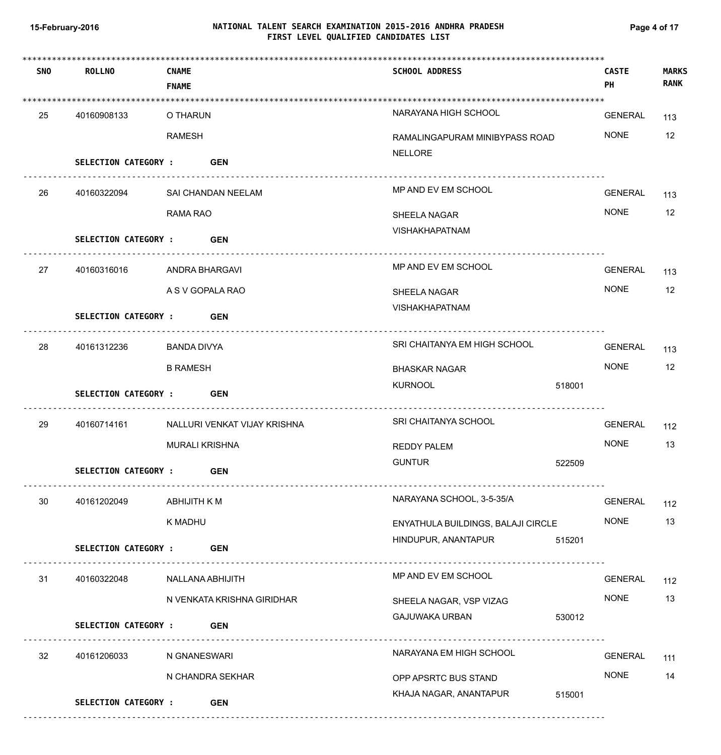# **NATIONAL TALENT SEARCH EXAMINATION 2015-2016 ANDHRA PRADESH 15-February-2016 Page 4 of 17 FIRST LEVEL QUALIFIED CANDIDATES LIST**

| <b>SNO</b> | <b>ROLLNO</b>               | <b>CNAME</b><br><b>FNAME</b> | <b>SCHOOL ADDRESS</b>                                              |        | <b>CASTE</b><br>PH | <b>MARKS</b><br><b>RANK</b> |
|------------|-----------------------------|------------------------------|--------------------------------------------------------------------|--------|--------------------|-----------------------------|
| 25         | 40160908133                 | O THARUN                     | NARAYANA HIGH SCHOOL                                               |        | GENERAL            | 113                         |
|            |                             | <b>RAMESH</b>                | RAMALINGAPURAM MINIBYPASS ROAD                                     |        | <b>NONE</b>        | 12                          |
|            | SELECTION CATEGORY : GEN    |                              | <b>NELLORE</b>                                                     |        |                    |                             |
| 26         | 40160322094                 | SAI CHANDAN NEELAM           | MP AND EV EM SCHOOL                                                |        | GENERAL            | 113                         |
|            |                             | RAMA RAO                     | <b>SHEELA NAGAR</b>                                                |        | <b>NONE</b>        | 12                          |
|            | SELECTION CATEGORY : GEN    |                              | <b>VISHAKHAPATNAM</b><br><u>----------------------------------</u> |        |                    |                             |
| 27         | 40160316016                 | ANDRA BHARGAVI               | MP AND EV EM SCHOOL                                                |        | GENERAL            | 113                         |
|            |                             | A S V GOPALA RAO             | SHEELA NAGAR                                                       |        | <b>NONE</b>        | 12                          |
|            | <b>SELECTION CATEGORY :</b> | <b>GEN</b>                   | <b>VISHAKHAPATNAM</b>                                              |        |                    |                             |
|            |                             |                              |                                                                    |        |                    |                             |
| 28         | 40161312236                 | BANDA DIVYA                  | SRI CHAITANYA EM HIGH SCHOOL                                       |        | GENERAL            | 113                         |
|            |                             | <b>B RAMESH</b>              | BHASKAR NAGAR                                                      |        | <b>NONE</b>        | 12                          |
|            | SELECTION CATEGORY : GEN    |                              | <b>KURNOOL</b>                                                     | 518001 |                    |                             |
| 29         | 40160714161                 | NALLURI VENKAT VIJAY KRISHNA | SRI CHAITANYA SCHOOL                                               |        | <b>GENERAL</b>     | 112                         |
|            |                             | <b>MURALI KRISHNA</b>        | REDDY PALEM                                                        |        | <b>NONE</b>        | 13                          |
|            | <b>SELECTION CATEGORY :</b> | <b>GEN</b>                   | <b>GUNTUR</b>                                                      | 522509 |                    |                             |
| 30         | 40161202049                 | ABHIJITH K M                 | NARAYANA SCHOOL, 3-5-35/A                                          |        | GENERAL            | 112                         |
|            |                             | K MADHU                      | ENYATHULA BUILDINGS, BALAJI CIRCLE                                 |        | <b>NONE</b>        | 13                          |
|            | <b>SELECTION CATEGORY :</b> | <b>GEN</b>                   | HINDUPUR, ANANTAPUR                                                | 515201 |                    |                             |
| 31         | 40160322048                 | NALLANA ABHIJITH             | MP AND EV EM SCHOOL                                                |        | GENERAL            | 112                         |
|            |                             | N VENKATA KRISHNA GIRIDHAR   | SHEELA NAGAR, VSP VIZAG                                            |        | <b>NONE</b>        | 13                          |
|            | <b>SELECTION CATEGORY :</b> | <b>GEN</b>                   | <b>GAJUWAKA URBAN</b>                                              | 530012 |                    |                             |
| 32         | 40161206033                 | N GNANESWARI                 | NARAYANA EM HIGH SCHOOL                                            |        | <b>GENERAL</b>     | 111                         |
|            |                             | N CHANDRA SEKHAR             | OPP APSRTC BUS STAND                                               |        | <b>NONE</b>        | 14                          |
|            | <b>SELECTION CATEGORY :</b> | <b>GEN</b>                   | KHAJA NAGAR, ANANTAPUR                                             | 515001 |                    |                             |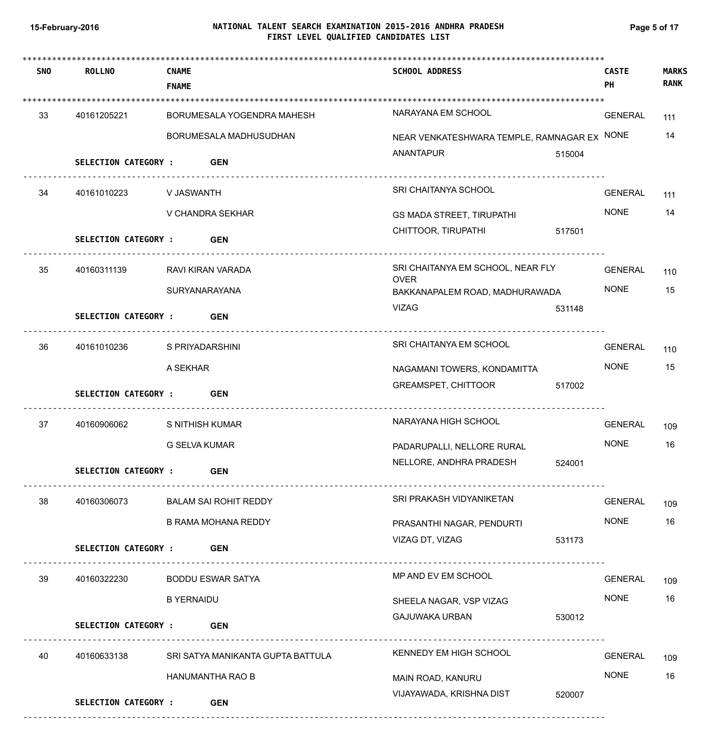# **NATIONAL TALENT SEARCH EXAMINATION 2015-2016 ANDHRA PRADESH 15-February-2016 Page 5 of 17 FIRST LEVEL QUALIFIED CANDIDATES LIST**

| <b>SNO</b> | <b>ROLLNO</b>               | <b>CNAME</b><br><b>FNAME</b>      | <b>SCHOOL ADDRESS</b>                            |        | <b>CASTE</b><br>PH | <b>MARKS</b><br><b>RANK</b> |
|------------|-----------------------------|-----------------------------------|--------------------------------------------------|--------|--------------------|-----------------------------|
| 33         | 40161205221                 | BORUMESALA YOGENDRA MAHESH        | NARAYANA EM SCHOOL                               |        | <b>GENERAL</b>     | 111                         |
|            |                             | BORUMESALA MADHUSUDHAN            | NEAR VENKATESHWARA TEMPLE, RAMNAGAR EX NONE      |        |                    | 14                          |
|            | <b>SELECTION CATEGORY:</b>  | <b>GEN</b>                        | ANANTAPUR                                        | 515004 |                    |                             |
| 34         | 40161010223                 | V JASWANTH                        | SRI CHAITANYA SCHOOL                             |        | <b>GENERAL</b>     | 111                         |
|            |                             | V CHANDRA SEKHAR                  | <b>GS MADA STREET, TIRUPATHI</b>                 |        | <b>NONE</b>        | 14                          |
|            | <b>SELECTION CATEGORY :</b> | <b>GEN</b>                        | CHITTOOR, TIRUPATHI                              | 517501 |                    |                             |
| 35         | 40160311139                 | RAVI KIRAN VARADA                 | SRI CHAITANYA EM SCHOOL, NEAR FLY<br><b>OVER</b> |        | <b>GENERAL</b>     | 110                         |
|            |                             | SURYANARAYANA                     | BAKKANAPALEM ROAD, MADHURAWADA                   |        | <b>NONE</b>        | 15                          |
|            | <b>SELECTION CATEGORY :</b> | <b>GEN</b>                        | <b>VIZAG</b>                                     | 531148 |                    |                             |
| 36         | 40161010236                 | S PRIYADARSHINI                   | SRI CHAITANYA EM SCHOOL                          |        | <b>GENERAL</b>     | 110                         |
|            |                             | A SEKHAR                          | NAGAMANI TOWERS, KONDAMITTA                      |        | <b>NONE</b>        | 15                          |
|            | <b>SELECTION CATEGORY :</b> | <b>GEN</b>                        | GREAMSPET, CHITTOOR                              | 517002 |                    |                             |
| 37         | 40160906062                 | S NITHISH KUMAR                   | NARAYANA HIGH SCHOOL                             |        | <b>GENERAL</b>     | 109                         |
|            |                             | <b>G SELVA KUMAR</b>              | PADARUPALLI, NELLORE RURAL                       |        | <b>NONE</b>        | 16                          |
|            | SELECTION CATEGORY :        | <b>GEN</b>                        | NELLORE, ANDHRA PRADESH                          | 524001 |                    |                             |
| 38         | 40160306073                 | <b>BALAM SAI ROHIT REDDY</b>      | SRI PRAKASH VIDYANIKETAN                         |        | <b>GENERAL</b>     | 109                         |
|            |                             | <b>B RAMA MOHANA REDDY</b>        | PRASANTHI NAGAR, PENDURTI                        |        | <b>NONE</b>        | 16                          |
|            | <b>SELECTION CATEGORY:</b>  | <b>GEN</b>                        | VIZAG DT, VIZAG                                  | 531173 |                    |                             |
| 39         | 40160322230                 | <b>BODDU ESWAR SATYA</b>          | MP AND EV EM SCHOOL                              |        | GENERAL            | 109                         |
|            |                             | <b>B YERNAIDU</b>                 | SHEELA NAGAR, VSP VIZAG                          |        | <b>NONE</b>        | 16                          |
|            | <b>SELECTION CATEGORY :</b> | <b>GEN</b>                        | GAJUWAKA URBAN                                   | 530012 |                    |                             |
| 40         | 40160633138                 | SRI SATYA MANIKANTA GUPTA BATTULA | KENNEDY EM HIGH SCHOOL                           |        | <b>GENERAL</b>     | 109                         |
|            |                             | HANUMANTHA RAO B                  | MAIN ROAD, KANURU                                |        | <b>NONE</b>        | 16                          |
|            | <b>SELECTION CATEGORY :</b> | <b>GEN</b>                        | VIJAYAWADA, KRISHNA DIST                         | 520007 |                    |                             |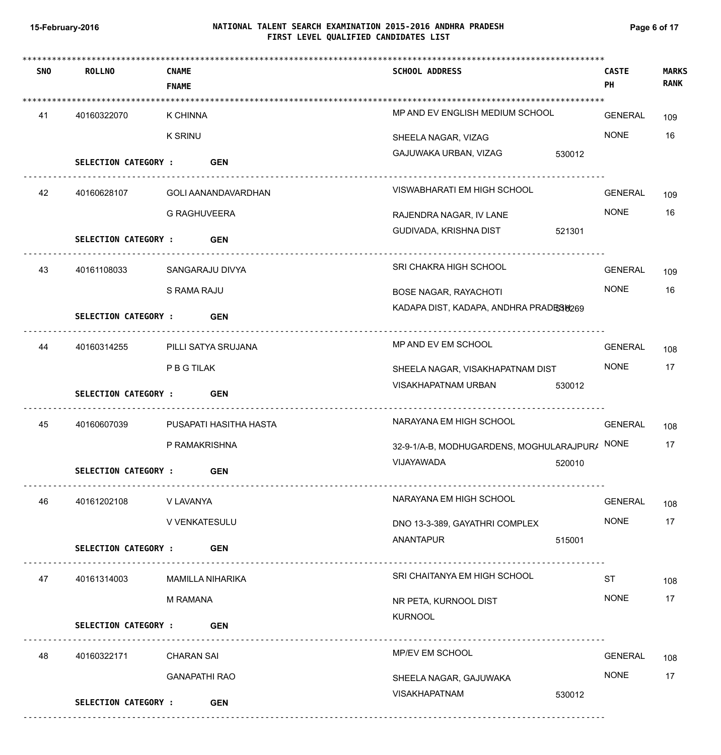# **NATIONAL TALENT SEARCH EXAMINATION 2015-2016 ANDHRA PRADESH 15-February-2016 Page 6 of 17 FIRST LEVEL QUALIFIED CANDIDATES LIST**

| <b>SNO</b> | <b>ROLLNO</b>               | <b>CNAME</b>           | <b>SCHOOL ADDRESS</b>                         |        | <b>CASTE</b>   | <b>MARKS</b><br><b>RANK</b> |
|------------|-----------------------------|------------------------|-----------------------------------------------|--------|----------------|-----------------------------|
|            |                             | <b>FNAME</b>           |                                               |        | PH             |                             |
| 41         | 40160322070                 | K CHINNA               | MP AND EV ENGLISH MEDIUM SCHOOL               |        | <b>GENERAL</b> | 109                         |
|            |                             | <b>K SRINU</b>         | SHEELA NAGAR, VIZAG                           |        | <b>NONE</b>    | 16                          |
|            | <b>SELECTION CATEGORY :</b> | <b>GEN</b>             | GAJUWAKA URBAN, VIZAG                         | 530012 |                |                             |
| 42         | 40160628107                 | GOLI AANANDAVARDHAN    | VISWABHARATI EM HIGH SCHOOL                   |        | <b>GENERAL</b> | 109                         |
|            |                             | <b>G RAGHUVEERA</b>    | RAJENDRA NAGAR, IV LANE                       |        | <b>NONE</b>    | 16                          |
|            | <b>SELECTION CATEGORY :</b> | <b>GEN</b>             | GUDIVADA, KRISHNA DIST                        | 521301 |                |                             |
| 43         | 40161108033                 | SANGARAJU DIVYA        | SRI CHAKRA HIGH SCHOOL                        |        | <b>GENERAL</b> | 109                         |
|            |                             | S RAMA RAJU            | <b>BOSE NAGAR, RAYACHOTI</b>                  |        | <b>NONE</b>    | 16                          |
|            | <b>SELECTION CATEGORY :</b> | <b>GEN</b>             | KADAPA DIST, KADAPA, ANDHRA PRADES 6269       |        |                |                             |
|            |                             |                        |                                               |        |                |                             |
| 44         | 40160314255                 | PILLI SATYA SRUJANA    | MP AND EV EM SCHOOL                           |        | <b>GENERAL</b> | 108                         |
|            |                             | P B G TILAK            | SHEELA NAGAR, VISAKHAPATNAM DIST              |        | <b>NONE</b>    | 17                          |
|            | <b>SELECTION CATEGORY :</b> | <b>GEN</b>             | VISAKHAPATNAM URBAN                           | 530012 |                |                             |
| 45         | 40160607039                 | PUSAPATI HASITHA HASTA | NARAYANA EM HIGH SCHOOL                       |        | <b>GENERAL</b> | 108                         |
|            |                             | P RAMAKRISHNA          | 32-9-1/A-B, MODHUGARDENS, MOGHULARAJPUR/ NONE |        |                | 17                          |
|            | <b>SELECTION CATEGORY :</b> | <b>GEN</b>             | VIJAYAWADA                                    | 520010 |                |                             |
| 46         | 40161202108                 | V LAVANYA              | NARAYANA EM HIGH SCHOOL                       |        | GENERAL        | 108                         |
|            |                             | V VENKATESULU          | DNO 13-3-389, GAYATHRI COMPLEX                |        | <b>NONE</b>    | 17                          |
|            | SELECTION CATEGORY : GEN    |                        | ANANTAPUR                                     | 515001 |                |                             |
| 47         | 40161314003                 | MAMILLA NIHARIKA       | SRI CHAITANYA EM HIGH SCHOOL                  |        | <b>ST</b>      | 108                         |
|            |                             | M RAMANA               | NR PETA, KURNOOL DIST                         |        | <b>NONE</b>    | 17                          |
|            | SELECTION CATEGORY : GEN    |                        | <b>KURNOOL</b>                                |        |                |                             |
| 48         | 40160322171                 | <b>CHARAN SAI</b>      | MP/EV EM SCHOOL                               |        | GENERAL        | 108                         |
|            |                             | <b>GANAPATHI RAO</b>   | SHEELA NAGAR, GAJUWAKA                        |        | <b>NONE</b>    | 17                          |
|            | <b>SELECTION CATEGORY :</b> | <b>GEN</b>             | VISAKHAPATNAM                                 | 530012 |                |                             |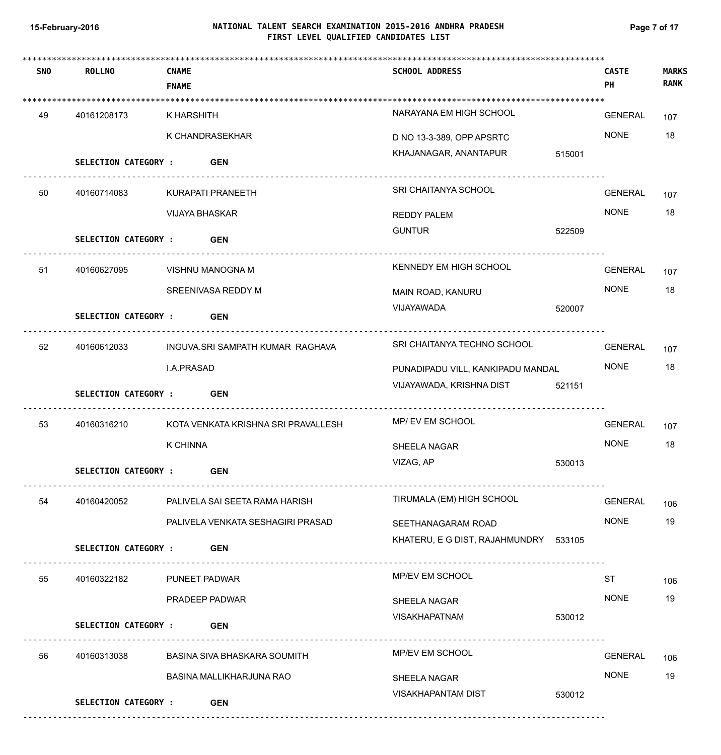# **NATIONAL TALENT SEARCH EXAMINATION 2015-2016 ANDHRA PRADESH 15-February-2016 Page 7 of 17 FIRST LEVEL QUALIFIED CANDIDATES LIST**

| <b>SNO</b> | <b>ROLLNO</b>               | <b>CNAME</b><br><b>FNAME</b>        | <b>SCHOOL ADDRESS</b>                 | PH        | <b>CASTE</b>   | <b>MARKS</b><br><b>RANK</b> |
|------------|-----------------------------|-------------------------------------|---------------------------------------|-----------|----------------|-----------------------------|
| 49         | 40161208173                 | K HARSHITH                          | NARAYANA EM HIGH SCHOOL               |           | <b>GENERAL</b> | 107                         |
|            |                             | K CHANDRASEKHAR                     | D NO 13-3-389, OPP APSRTC             |           | <b>NONE</b>    | 18                          |
|            | <b>SELECTION CATEGORY:</b>  | <b>GEN</b>                          | KHAJANAGAR, ANANTAPUR                 | 515001    |                |                             |
| 50         | 40160714083                 | KURAPATI PRANEETH                   | SRI CHAITANYA SCHOOL                  |           | <b>GENERAL</b> | 107                         |
|            |                             | <b>VIJAYA BHASKAR</b>               | <b>REDDY PALEM</b>                    |           | <b>NONE</b>    | 18                          |
|            | <b>SELECTION CATEGORY :</b> | <b>GEN</b>                          | <b>GUNTUR</b>                         | 522509    |                |                             |
| 51         | 40160627095                 | VISHNU MANOGNA M                    | KENNEDY EM HIGH SCHOOL                |           | <b>GENERAL</b> | 107                         |
|            |                             | SREENIVASA REDDY M                  | MAIN ROAD, KANURU                     |           | <b>NONE</b>    | 18                          |
|            | <b>SELECTION CATEGORY :</b> |                                     | VIJAYAWADA                            | 520007    |                |                             |
|            |                             | <b>GEN</b>                          |                                       |           |                |                             |
| 52         | 40160612033                 | INGUVA.SRI SAMPATH KUMAR RAGHAVA    | SRI CHAITANYA TECHNO SCHOOL           |           | <b>GENERAL</b> | 107                         |
|            |                             | I.A.PRASAD                          | PUNADIPADU VILL, KANKIPADU MANDAL     |           | <b>NONE</b>    | 18                          |
|            | <b>SELECTION CATEGORY :</b> | <b>GEN</b>                          | VIJAYAWADA, KRISHNA DIST              | 521151    |                |                             |
| 53         | 40160316210                 | KOTA VENKATA KRISHNA SRI PRAVALLESH | MP/ EV EM SCHOOL                      |           | <b>GENERAL</b> | 107                         |
|            |                             | <b>K CHINNA</b>                     | SHEELA NAGAR                          |           | <b>NONE</b>    | 18                          |
|            | <b>SELECTION CATEGORY :</b> | <b>GEN</b>                          | VIZAG, AP                             | 530013    |                |                             |
| 54         | 40160420052                 | PALIVELA SAI SEETA RAMA HARISH      | TIRUMALA (EM) HIGH SCHOOL             |           | <b>GENERAL</b> | 106                         |
|            |                             | PALIVELA VENKATA SESHAGIRI PRASAD   | SEETHANAGARAM ROAD                    |           | <b>NONE</b>    | 19                          |
|            | <b>SELECTION CATEGORY:</b>  | <b>GEN</b>                          | KHATERU, E G DIST, RAJAHMUNDRY 533105 |           |                |                             |
| 55         | 40160322182                 | PUNEET PADWAR                       | <b>MP/EV EM SCHOOL</b>                | <b>ST</b> |                | 106                         |
|            |                             | PRADEEP PADWAR                      | SHEELA NAGAR                          |           | <b>NONE</b>    | 19                          |
|            | <b>SELECTION CATEGORY :</b> | <b>GEN</b>                          | <b>VISAKHAPATNAM</b>                  | 530012    |                |                             |
| 56         | 40160313038                 | BASINA SIVA BHASKARA SOUMITH        | MP/EV EM SCHOOL                       |           | <b>GENERAL</b> | 106                         |
|            |                             | <b>BASINA MALLIKHARJUNA RAO</b>     | SHEELA NAGAR                          |           | <b>NONE</b>    | 19                          |
|            | <b>SELECTION CATEGORY :</b> | <b>GEN</b>                          | VISAKHAPANTAM DIST                    | 530012    |                |                             |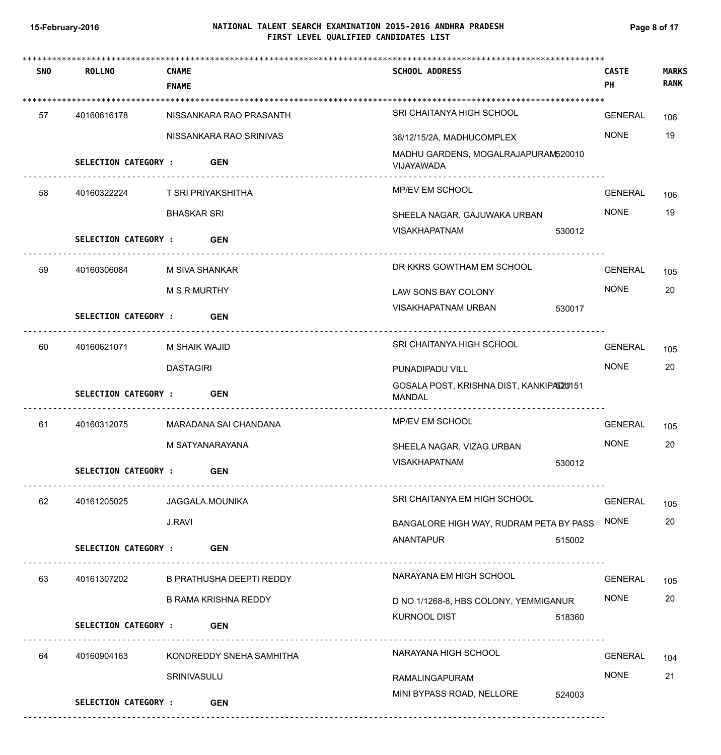# **NATIONAL TALENT SEARCH EXAMINATION 2015-2016 ANDHRA PRADESH 15-February-2016 Page 8 of 17 FIRST LEVEL QUALIFIED CANDIDATES LIST**

| <b>SNO</b> | <b>ROLLNO</b>               | <b>CNAME</b>                | <b>SCHOOL ADDRESS</b>                              | <b>CASTE</b>   | <b>MARKS</b> |
|------------|-----------------------------|-----------------------------|----------------------------------------------------|----------------|--------------|
|            |                             | <b>FNAME</b>                |                                                    | PH             | <b>RANK</b>  |
| 57         | 40160616178                 | NISSANKARA RAO PRASANTH     | SRI CHAITANYA HIGH SCHOOL                          | GENERAL        | 106          |
|            |                             | NISSANKARA RAO SRINIVAS     | 36/12/15/2A, MADHUCOMPLEX                          | <b>NONE</b>    | 19           |
|            | <b>SELECTION CATEGORY :</b> | <b>GEN</b>                  | MADHU GARDENS, MOGALRAJAPURAM520010<br>VIJAYAWADA  |                |              |
| 58         | 40160322224                 | T SRI PRIYAKSHITHA          | MP/EV EM SCHOOL                                    | <b>GENERAL</b> | 106          |
|            |                             | <b>BHASKAR SRI</b>          | SHEELA NAGAR, GAJUWAKA URBAN                       | <b>NONE</b>    | 19           |
|            | <b>SELECTION CATEGORY :</b> | <b>GEN</b>                  | VISAKHAPATNAM<br>530012                            |                |              |
| 59         | 40160306084                 | M SIVA SHANKAR              | DR KKRS GOWTHAM EM SCHOOL                          | <b>GENERAL</b> | 105          |
|            |                             | <b>M S R MURTHY</b>         | LAW SONS BAY COLONY                                | <b>NONE</b>    | 20           |
|            | <b>SELECTION CATEGORY :</b> | <b>GEN</b>                  | VISAKHAPATNAM URBAN<br>530017                      |                |              |
| 60         | 40160621071                 | M SHAIK WAJID               | SRI CHAITANYA HIGH SCHOOL                          | <b>GENERAL</b> | 105          |
|            |                             | <b>DASTAGIRI</b>            | PUNADIPADU VILL                                    | <b>NONE</b>    | 20           |
|            | <b>SELECTION CATEGORY :</b> | <b>GEN</b>                  | GOSALA POST, KRISHNA DIST, KANKIPAD20151<br>MANDAL |                |              |
| 61         | 40160312075                 | MARADANA SAI CHANDANA       | MP/EV EM SCHOOL                                    | <b>GENERAL</b> | 105          |
|            |                             | M SATYANARAYANA             | SHEELA NAGAR, VIZAG URBAN                          | <b>NONE</b>    | 20           |
|            | SELECTION CATEGORY :        | <b>GEN</b>                  | <b>VISAKHAPATNAM</b><br>530012                     |                |              |
| 62         | 40161205025                 | JAGGALA.MOUNIKA             | SRI CHAITANYA EM HIGH SCHOOL                       | <b>GENERAL</b> | 105          |
|            |                             | <b>J.RAVI</b>               | BANGALORE HIGH WAY, RUDRAM PETA BY PASS            | <b>NONE</b>    | 20           |
|            | <b>SELECTION CATEGORY :</b> | <b>GEN</b>                  | ANANTAPUR<br>515002                                |                |              |
| 63         | 40161307202                 | B PRATHUSHA DEEPTI REDDY    | NARAYANA EM HIGH SCHOOL                            | <b>GENERAL</b> | 105          |
|            |                             | <b>B RAMA KRISHNA REDDY</b> | D NO 1/1268-8, HBS COLONY, YEMMIGANUR              | <b>NONE</b>    | 20           |
|            | <b>SELECTION CATEGORY :</b> | <b>GEN</b>                  | <b>KURNOOL DIST</b><br>518360                      |                |              |
| 64         | 40160904163                 | KONDREDDY SNEHA SAMHITHA    | NARAYANA HIGH SCHOOL                               | <b>GENERAL</b> | 104          |
|            |                             | SRINIVASULU                 | RAMALINGAPURAM                                     | <b>NONE</b>    | 21           |
|            | <b>SELECTION CATEGORY :</b> | <b>GEN</b>                  | MINI BYPASS ROAD, NELLORE<br>524003                |                |              |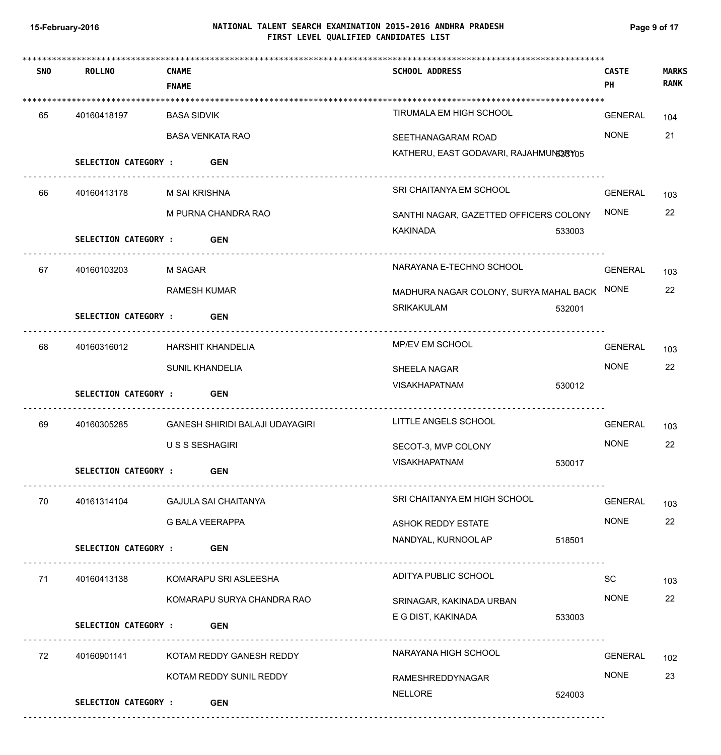# **NATIONAL TALENT SEARCH EXAMINATION 2015-2016 ANDHRA PRADESH 15-February-2016 Page 9 of 17 FIRST LEVEL QUALIFIED CANDIDATES LIST**

| <b>SNO</b> | <b>ROLLNO</b>               | <b>CNAME</b><br><b>FNAME</b> |                                 | <b>SCHOOL ADDRESS</b>                                        |        | <b>CASTE</b><br>PH | <b>MARKS</b><br><b>RANK</b> |
|------------|-----------------------------|------------------------------|---------------------------------|--------------------------------------------------------------|--------|--------------------|-----------------------------|
| 65         | 40160418197                 | BASA SIDVIK                  |                                 | TIRUMALA EM HIGH SCHOOL                                      |        | GENERAL            | 104                         |
|            |                             |                              | <b>BASA VENKATA RAO</b>         | SEETHANAGARAM ROAD                                           |        | <b>NONE</b>        | 21                          |
|            | SELECTION CATEGORY : GEN    |                              |                                 | KATHERU, EAST GODAVARI, RAJAHMUNG3RY05                       |        |                    |                             |
| 66         | 40160413178                 | M SAI KRISHNA                |                                 | SRI CHAITANYA EM SCHOOL                                      |        | <b>GENERAL</b>     | 103                         |
|            |                             |                              | M PURNA CHANDRA RAO             | SANTHI NAGAR, GAZETTED OFFICERS COLONY                       |        | <b>NONE</b>        | 22                          |
|            | <b>SELECTION CATEGORY:</b>  |                              | <b>GEN</b>                      | <b>KAKINADA</b>                                              | 533003 |                    |                             |
| 67         | 40160103203                 | <b>M SAGAR</b>               |                                 | NARAYANA E-TECHNO SCHOOL                                     |        | GENERAL            | 103                         |
|            |                             | <b>RAMESH KUMAR</b>          |                                 | MADHURA NAGAR COLONY, SURYA MAHAL BACK NONE                  |        |                    | 22                          |
|            | <b>SELECTION CATEGORY:</b>  |                              | <b>GEN</b>                      | SRIKAKULAM                                                   | 532001 |                    |                             |
| 68         | 40160316012                 |                              | <b>HARSHIT KHANDELIA</b>        | <u>----------------------------------</u><br>MP/EV EM SCHOOL |        | <b>GENERAL</b>     | 103                         |
|            |                             | SUNIL KHANDELIA              |                                 | <b>SHEELA NAGAR</b>                                          |        | <b>NONE</b>        | 22                          |
|            | <b>SELECTION CATEGORY :</b> |                              | <b>GEN</b>                      | <b>VISAKHAPATNAM</b>                                         | 530012 |                    |                             |
| 69         | 40160305285                 |                              | GANESH SHIRIDI BALAJI UDAYAGIRI | LITTLE ANGELS SCHOOL                                         |        | <b>GENERAL</b>     | 103                         |
|            |                             | U S S SESHAGIRI              |                                 | SECOT-3, MVP COLONY                                          |        | <b>NONE</b>        | 22                          |
|            | SELECTION CATEGORY :        |                              | <b>GEN</b>                      | <b>VISAKHAPATNAM</b>                                         | 530017 |                    |                             |
| 70         | 40161314104                 |                              | GAJULA SAI CHAITANYA            | SRI CHAITANYA EM HIGH SCHOOL                                 |        | GENERAL            | 103                         |
|            |                             | <b>G BALA VEERAPPA</b>       |                                 | ASHOK REDDY ESTATE                                           |        | <b>NONE</b>        | 22                          |
|            | SELECTION CATEGORY : GEN    |                              |                                 | NANDYAL, KURNOOL AP                                          | 518501 |                    |                             |
| 71         | 40160413138                 |                              | KOMARAPU SRI ASLEESHA           | ADITYA PUBLIC SCHOOL                                         |        | SC                 | 103                         |
|            |                             |                              | KOMARAPU SURYA CHANDRA RAO      | SRINAGAR, KAKINADA URBAN                                     |        | <b>NONE</b>        | 22                          |
|            | <b>SELECTION CATEGORY :</b> |                              | <b>GEN</b>                      | E G DIST, KAKINADA                                           | 533003 |                    |                             |
| 72         | 40160901141                 |                              | KOTAM REDDY GANESH REDDY        | NARAYANA HIGH SCHOOL                                         |        | <b>GENERAL</b>     | 102                         |
|            |                             |                              | KOTAM REDDY SUNIL REDDY         | RAMESHREDDYNAGAR                                             |        | <b>NONE</b>        | 23                          |
|            | <b>SELECTION CATEGORY :</b> |                              | <b>GEN</b>                      | NELLORE                                                      | 524003 |                    |                             |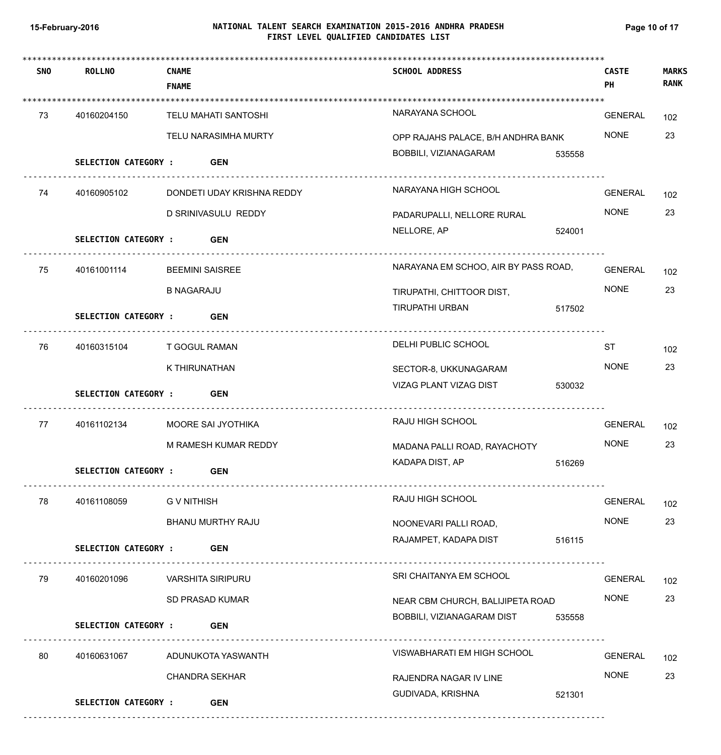# **NATIONAL TALENT SEARCH EXAMINATION 2015-2016 ANDHRA PRADESH 15-February-2016 Page 10 of 17 FIRST LEVEL QUALIFIED CANDIDATES LIST**

| <b>SNO</b> | ROLLNO                      | <b>CNAME</b><br><b>FNAME</b> | <b>SCHOOL ADDRESS</b>                                               | <b>CASTE</b><br>PH | <b>MARKS</b><br><b>RANK</b> |
|------------|-----------------------------|------------------------------|---------------------------------------------------------------------|--------------------|-----------------------------|
|            |                             |                              |                                                                     |                    |                             |
| 73         | 40160204150                 | TELU MAHATI SANTOSHI         | NARAYANA SCHOOL                                                     | <b>GENERAL</b>     | 102                         |
|            |                             | TELU NARASIMHA MURTY         | OPP RAJAHS PALACE, B/H ANDHRA BANK                                  | <b>NONE</b>        | 23                          |
|            | <b>SELECTION CATEGORY :</b> | <b>GEN</b>                   | BOBBILI, VIZIANAGARAM                                               | 535558             |                             |
| 74         | 40160905102                 | DONDETI UDAY KRISHNA REDDY   | NARAYANA HIGH SCHOOL                                                | <b>GENERAL</b>     | 102                         |
|            |                             | D SRINIVASULU REDDY          | PADARUPALLI, NELLORE RURAL                                          | <b>NONE</b>        | 23                          |
|            | <b>SELECTION CATEGORY :</b> | <b>GEN</b>                   | NELLORE, AP                                                         | 524001             |                             |
| 75         | 40161001114                 | <b>BEEMINI SAISREE</b>       | NARAYANA EM SCHOO, AIR BY PASS ROAD,                                | <b>GENERAL</b>     | 102                         |
|            |                             | <b>B NAGARAJU</b>            | TIRUPATHI, CHITTOOR DIST,                                           | <b>NONE</b>        | 23                          |
|            | <b>SELECTION CATEGORY :</b> | <b>GEN</b>                   | <b>TIRUPATHI URBAN</b>                                              | 517502             |                             |
| 76         | 40160315104                 | T GOGUL RAMAN                | DELHI PUBLIC SCHOOL                                                 | <b>ST</b>          | 102                         |
|            |                             | K THIRUNATHAN                | SECTOR-8, UKKUNAGARAM                                               | <b>NONE</b>        | 23                          |
|            | <b>SELECTION CATEGORY :</b> | <b>GEN</b>                   | VIZAG PLANT VIZAG DIST                                              | 530032             |                             |
| 77         | 40161102134                 | MOORE SAI JYOTHIKA           | RAJU HIGH SCHOOL                                                    | <b>GENERAL</b>     | 102                         |
|            |                             | M RAMESH KUMAR REDDY         | MADANA PALLI ROAD, RAYACHOTY                                        | <b>NONE</b>        | 23                          |
|            | SELECTION CATEGORY :        | <b>GEN</b>                   | KADAPA DIST, AP                                                     | 516269             |                             |
| 78         | 40161108059                 | <b>GV NITHISH</b>            | RAJU HIGH SCHOOL                                                    | GENERAL            | 102                         |
|            |                             | BHANU MURTHY RAJU            | NOONEVARI PALLI ROAD,                                               | <b>NONE</b>        | 23                          |
|            | SELECTION CATEGORY :        | <b>GEN</b>                   | RAJAMPET, KADAPA DIST                                               | 516115             |                             |
| 79         | 40160201096                 | <b>VARSHITA SIRIPURU</b>     | SRI CHAITANYA EM SCHOOL                                             | <b>GENERAL</b>     | 102                         |
|            |                             | SD PRASAD KUMAR              | NEAR CBM CHURCH, BALIJIPETA ROAD                                    | <b>NONE</b>        | 23                          |
|            | SELECTION CATEGORY :        | <b>GEN</b>                   | BOBBILI, VIZIANAGARAM DIST                                          | 535558             |                             |
| 80         | 40160631067                 | ADUNUKOTA YASWANTH           | ------------------------------------<br>VISWABHARATI EM HIGH SCHOOL | <b>GENERAL</b>     | 102                         |
|            |                             | <b>CHANDRA SEKHAR</b>        | RAJENDRA NAGAR IV LINE                                              | <b>NONE</b>        | 23                          |
|            | <b>SELECTION CATEGORY :</b> | <b>GEN</b>                   | GUDIVADA, KRISHNA                                                   | 521301             |                             |
|            |                             |                              |                                                                     |                    |                             |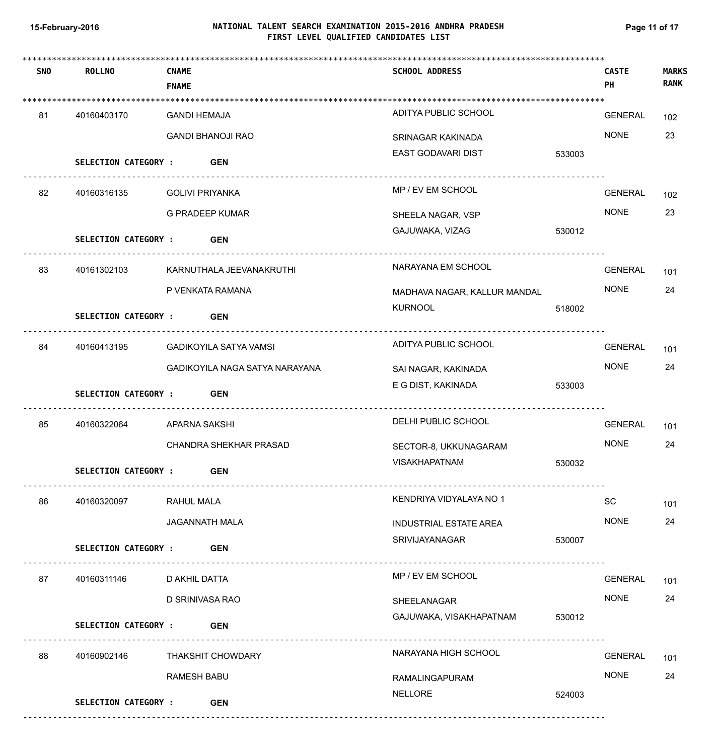# **NATIONAL TALENT SEARCH EXAMINATION 2015-2016 ANDHRA PRADESH 15-February-2016 Page 11 of 17 FIRST LEVEL QUALIFIED CANDIDATES LIST**

| <b>SNO</b> | <b>ROLLNO</b>               | <b>CNAME</b><br><b>FNAME</b> |                                | <b>SCHOOL ADDRESS</b>         |        | <b>CASTE</b><br>PH | <b>MARKS</b><br><b>RANK</b> |
|------------|-----------------------------|------------------------------|--------------------------------|-------------------------------|--------|--------------------|-----------------------------|
| 81         | 40160403170                 | <b>GANDI HEMAJA</b>          |                                | ADITYA PUBLIC SCHOOL          |        | <b>GENERAL</b>     | 102                         |
|            |                             |                              | <b>GANDI BHANOJI RAO</b>       | SRINAGAR KAKINADA             |        | <b>NONE</b>        | 23                          |
|            | SELECTION CATEGORY : GEN    |                              |                                | EAST GODAVARI DIST            | 533003 |                    |                             |
| 82         | 40160316135                 | <b>GOLIVI PRIYANKA</b>       |                                | MP / EV EM SCHOOL             |        | <b>GENERAL</b>     | 102                         |
|            |                             |                              | <b>G PRADEEP KUMAR</b>         | SHEELA NAGAR, VSP             |        | <b>NONE</b>        | 23                          |
|            | <b>SELECTION CATEGORY :</b> |                              | <b>GEN</b>                     | GAJUWAKA, VIZAG               | 530012 |                    |                             |
| 83         | 40161302103                 |                              | KARNUTHALA JEEVANAKRUTHI       | NARAYANA EM SCHOOL            |        | <b>GENERAL</b>     | 101                         |
|            |                             |                              | P VENKATA RAMANA               | MADHAVA NAGAR, KALLUR MANDAL  |        | <b>NONE</b>        | 24                          |
|            | <b>SELECTION CATEGORY :</b> |                              | <b>GEN</b>                     | <b>KURNOOL</b>                | 518002 |                    |                             |
|            |                             |                              |                                |                               |        |                    |                             |
| 84         | 40160413195                 |                              | GADIKOYILA SATYA VAMSI         | ADITYA PUBLIC SCHOOL          |        | <b>GENERAL</b>     | 101                         |
|            |                             |                              | GADIKOYILA NAGA SATYA NARAYANA | SAI NAGAR, KAKINADA           |        | <b>NONE</b>        | 24                          |
|            | <b>SELECTION CATEGORY :</b> |                              | <b>GEN</b>                     | E G DIST, KAKINADA            | 533003 |                    |                             |
| 85         | 40160322064                 | APARNA SAKSHI                |                                | DELHI PUBLIC SCHOOL           |        | <b>GENERAL</b>     | 101                         |
|            |                             |                              | CHANDRA SHEKHAR PRASAD         | SECTOR-8, UKKUNAGARAM         |        | <b>NONE</b>        | 24                          |
|            | <b>SELECTION CATEGORY:</b>  |                              | <b>GEN</b>                     | VISAKHAPATNAM                 | 530032 |                    |                             |
| 86         | 40160320097                 | <b>RAHUL MALA</b>            |                                | KENDRIYA VIDYALAYA NO 1       |        | SC                 | 101                         |
|            |                             |                              | <b>JAGANNATH MALA</b>          | <b>INDUSTRIAL ESTATE AREA</b> |        | <b>NONE</b>        | 24                          |
|            | <b>SELECTION CATEGORY:</b>  |                              | <b>GEN</b>                     | SRIVIJAYANAGAR                | 530007 |                    |                             |
| 87         | 40160311146                 | D AKHIL DATTA                |                                | MP / EV EM SCHOOL             |        | <b>GENERAL</b>     | 101                         |
|            |                             | D SRINIVASA RAO              |                                | SHEELANAGAR                   |        | <b>NONE</b>        | 24                          |
|            | <b>SELECTION CATEGORY :</b> |                              | <b>GEN</b>                     | GAJUWAKA, VISAKHAPATNAM       | 530012 |                    |                             |
| 88         | 40160902146                 |                              | <b>THAKSHIT CHOWDARY</b>       | NARAYANA HIGH SCHOOL          |        | <b>GENERAL</b>     | 101                         |
|            |                             | <b>RAMESH BABU</b>           |                                | RAMALINGAPURAM                |        | <b>NONE</b>        | 24                          |
|            | <b>SELECTION CATEGORY :</b> |                              | <b>GEN</b>                     | <b>NELLORE</b>                | 524003 |                    |                             |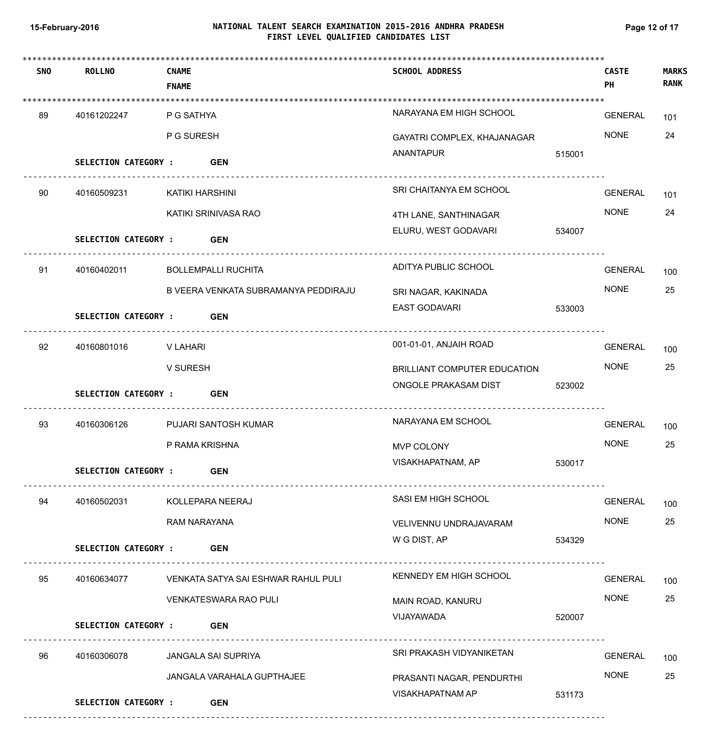# **NATIONAL TALENT SEARCH EXAMINATION 2015-2016 ANDHRA PRADESH 15-February-2016 Page 12 of 17 FIRST LEVEL QUALIFIED CANDIDATES LIST**

| <b>SNO</b> | <b>ROLLNO</b>               | <b>CNAME</b><br><b>FNAME</b> |                                      | <b>SCHOOL ADDRESS</b>        |        | <b>CASTE</b><br>PH | <b>MARKS</b><br><b>RANK</b> |
|------------|-----------------------------|------------------------------|--------------------------------------|------------------------------|--------|--------------------|-----------------------------|
|            |                             |                              |                                      |                              |        |                    |                             |
| 89         | 40161202247                 | P G SATHYA                   |                                      | NARAYANA EM HIGH SCHOOL      |        | GENERAL            | 101                         |
|            |                             | P G SURESH                   |                                      | GAYATRI COMPLEX, KHAJANAGAR  |        | <b>NONE</b>        | 24                          |
|            | SELECTION CATEGORY : GEN    |                              |                                      | ANANTAPUR                    | 515001 |                    |                             |
| 90         | 40160509231                 | KATIKI HARSHINI              |                                      | SRI CHAITANYA EM SCHOOL      |        | GENERAL            | 101                         |
|            |                             |                              | KATIKI SRINIVASA RAO                 | 4TH LANE, SANTHINAGAR        |        | <b>NONE</b>        | 24                          |
|            | <b>SELECTION CATEGORY:</b>  |                              | <b>GEN</b>                           | ELURU, WEST GODAVARI         | 534007 |                    |                             |
| 91         | 40160402011                 |                              | <b>BOLLEMPALLI RUCHITA</b>           | ADITYA PUBLIC SCHOOL         |        | <b>GENERAL</b>     | 100                         |
|            |                             |                              | B VEERA VENKATA SUBRAMANYA PEDDIRAJU | SRI NAGAR, KAKINADA          |        | <b>NONE</b>        | 25                          |
|            | <b>SELECTION CATEGORY :</b> |                              | <b>GEN</b>                           | <b>EAST GODAVARI</b>         | 533003 |                    |                             |
| 92         | 40160801016                 | V LAHARI                     |                                      | 001-01-01, ANJAIH ROAD       |        | <b>GENERAL</b>     | 100                         |
|            |                             | V SURESH                     |                                      | BRILLIANT COMPUTER EDUCATION |        | <b>NONE</b>        | 25                          |
|            | SELECTION CATEGORY : GEN    |                              |                                      | ONGOLE PRAKASAM DIST         | 523002 |                    |                             |
| 93         | 40160306126                 |                              | PUJARI SANTOSH KUMAR                 | NARAYANA EM SCHOOL           |        | <b>GENERAL</b>     | 100                         |
|            |                             | P RAMA KRISHNA               |                                      | MVP COLONY                   |        | <b>NONE</b>        | 25                          |
|            | <b>SELECTION CATEGORY:</b>  |                              | <b>GEN</b>                           | VISAKHAPATNAM, AP            | 530017 |                    |                             |
| 94         | 40160502031                 |                              | KOLLEPARA NEERAJ                     | SASI EM HIGH SCHOOL          |        | GENERAL            | 100                         |
|            |                             | RAM NARAYANA                 |                                      | VELIVENNU UNDRAJAVARAM       |        | <b>NONE</b>        | 25                          |
|            | <b>SELECTION CATEGORY:</b>  |                              | <b>GEN</b>                           | W G DIST, AP                 | 534329 |                    |                             |
| 95         | 40160634077                 |                              | VENKATA SATYA SAI ESHWAR RAHUL PULI  | KENNEDY EM HIGH SCHOOL       |        | <b>GENERAL</b>     | 100                         |
|            |                             |                              | <b>VENKATESWARA RAO PULI</b>         | MAIN ROAD, KANURU            |        | <b>NONE</b>        | 25                          |
|            | <b>SELECTION CATEGORY :</b> |                              | <b>GEN</b>                           | VIJAYAWADA                   | 520007 |                    |                             |
| 96         | 40160306078                 |                              | JANGALA SAI SUPRIYA                  | SRI PRAKASH VIDYANIKETAN     |        | <b>GENERAL</b>     | 100                         |
|            |                             |                              | JANGALA VARAHALA GUPTHAJEE           | PRASANTI NAGAR, PENDURTHI    |        | <b>NONE</b>        | 25                          |
|            | <b>SELECTION CATEGORY :</b> |                              | <b>GEN</b>                           | VISAKHAPATNAM AP             | 531173 |                    |                             |
|            |                             |                              |                                      |                              |        |                    |                             |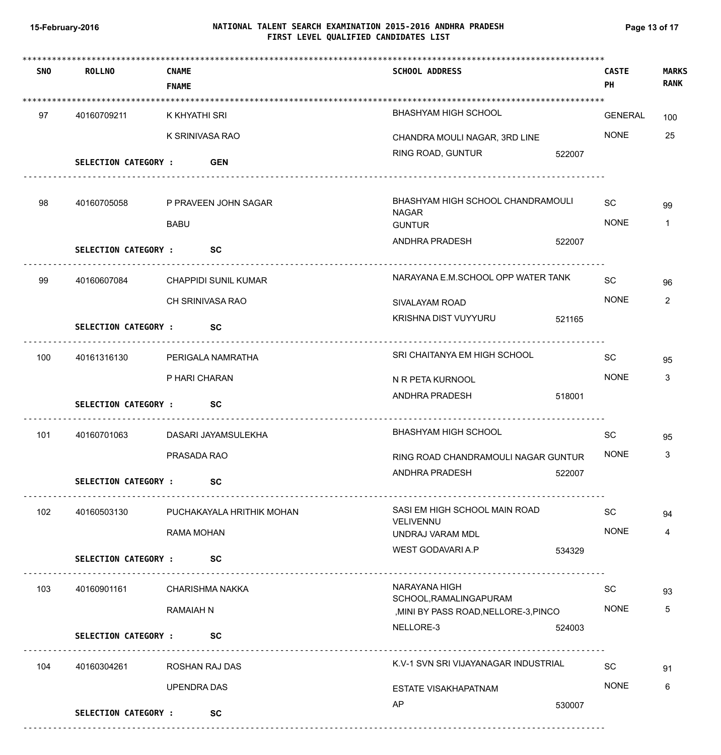# **NATIONAL TALENT SEARCH EXAMINATION 2015-2016 ANDHRA PRADESH 15-February-2016 Page 13 of 17 FIRST LEVEL QUALIFIED CANDIDATES LIST**

| <b>SNO</b> | <b>ROLLNO</b>               | <b>CNAME</b><br><b>FNAME</b> | <b>SCHOOL ADDRESS</b>                                                                                                                        | <b>CASTE</b><br><b>PH</b> | <b>MARKS</b><br><b>RANK</b> |
|------------|-----------------------------|------------------------------|----------------------------------------------------------------------------------------------------------------------------------------------|---------------------------|-----------------------------|
|            |                             |                              |                                                                                                                                              |                           |                             |
| 97         | 40160709211                 | K KHYATHI SRI                | BHASHYAM HIGH SCHOOL                                                                                                                         | <b>GENERAL</b>            | 100                         |
|            |                             | K SRINIVASA RAO              | CHANDRA MOULI NAGAR, 3RD LINE                                                                                                                | <b>NONE</b>               | 25                          |
|            | <b>SELECTION CATEGORY :</b> | <b>GEN</b>                   | RING ROAD, GUNTUR<br>522007                                                                                                                  |                           |                             |
| 98         | 40160705058                 | P PRAVEEN JOHN SAGAR         | BHASHYAM HIGH SCHOOL CHANDRAMOULI<br><b>NAGAR</b>                                                                                            | <b>SC</b>                 | 99                          |
|            |                             | <b>BABU</b>                  | <b>GUNTUR</b>                                                                                                                                | <b>NONE</b>               | 1                           |
|            | <b>SELECTION CATEGORY:</b>  | <b>SC</b>                    | ANDHRA PRADESH<br>522007                                                                                                                     |                           |                             |
| 99         | 40160607084                 | <b>CHAPPIDI SUNIL KUMAR</b>  | NARAYANA E.M.SCHOOL OPP WATER TANK                                                                                                           | <b>SC</b>                 | 96                          |
|            |                             | CH SRINIVASA RAO             | SIVALAYAM ROAD                                                                                                                               | <b>NONE</b>               | 2                           |
|            | <b>SELECTION CATEGORY :</b> | <b>SC</b>                    | KRISHNA DIST VUYYURU<br>521165                                                                                                               |                           |                             |
| 100        | 40161316130                 | PERIGALA NAMRATHA            | SRI CHAITANYA EM HIGH SCHOOL                                                                                                                 | <b>SC</b>                 | 95                          |
|            |                             | P HARI CHARAN                | N R PETA KURNOOL                                                                                                                             | <b>NONE</b>               | 3                           |
|            | <b>SELECTION CATEGORY :</b> | <b>SC</b>                    | ANDHRA PRADESH<br>518001                                                                                                                     |                           |                             |
| 101        | 40160701063                 | DASARI JAYAMSULEKHA          | <b>BHASHYAM HIGH SCHOOL</b>                                                                                                                  | SC                        | 95                          |
|            |                             | PRASADA RAO                  | RING ROAD CHANDRAMOULI NAGAR GUNTUR                                                                                                          | <b>NONE</b>               | 3                           |
|            | <b>SELECTION CATEGORY :</b> | <b>SC</b>                    | ANDHRA PRADESH<br>522007                                                                                                                     |                           |                             |
| 102        | 40160503130                 | PUCHAKAYALA HRITHIK MOHAN    | SASI EM HIGH SCHOOL MAIN ROAD<br>VELIVENNU                                                                                                   | <b>SC</b>                 | 94                          |
|            |                             | RAMA MOHAN                   | UNDRAJ VARAM MDL                                                                                                                             | <b>NONE</b>               | 4                           |
|            | <b>SELECTION CATEGORY:</b>  | <b>SC</b>                    | WEST GODAVARI A.P<br>534329                                                                                                                  |                           |                             |
| 103        | 40160901161                 | CHARISHMA NAKKA              | NARAYANA HIGH<br>SCHOOL, RAMALINGAPURAM                                                                                                      | SC                        | 93                          |
|            |                             | <b>RAMAIAH N</b>             | , MINI BY PASS ROAD, NELLORE-3, PINCO                                                                                                        | <b>NONE</b>               | 5                           |
|            | <b>SELECTION CATEGORY :</b> | <b>SC</b>                    | NELLORE-3<br>524003<br><u> 1990 - Paul Barbard II, marca eta erresta erresta erresta erresta erresta erresta erresta erresta erresta err</u> |                           |                             |
| 104        | 40160304261                 | ROSHAN RAJ DAS               | K.V-1 SVN SRI VIJAYANAGAR INDUSTRIAL                                                                                                         | SC                        | 91                          |
|            |                             | <b>UPENDRA DAS</b>           | <b>ESTATE VISAKHAPATNAM</b>                                                                                                                  | <b>NONE</b>               | 6                           |
|            | SELECTION CATEGORY :        | <b>SC</b>                    | AP<br>530007                                                                                                                                 |                           |                             |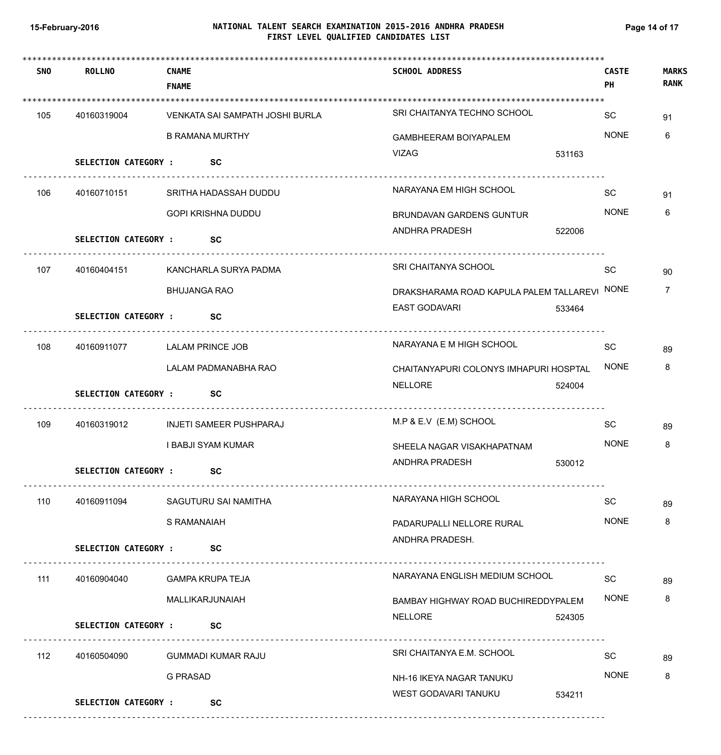# **NATIONAL TALENT SEARCH EXAMINATION 2015-2016 ANDHRA PRADESH 15-February-2016 Page 14 of 17 FIRST LEVEL QUALIFIED CANDIDATES LIST**

| <b>SNO</b> | <b>ROLLNO</b>               | <b>CNAME</b><br><b>FNAME</b>    | <b>SCHOOL ADDRESS</b>                   |        | <b>CASTE</b><br>PH | <b>MARKS</b><br><b>RANK</b> |
|------------|-----------------------------|---------------------------------|-----------------------------------------|--------|--------------------|-----------------------------|
|            |                             |                                 |                                         |        |                    |                             |
| 105        | 40160319004                 | VENKATA SAI SAMPATH JOSHI BURLA | SRI CHAITANYA TECHNO SCHOOL             |        | SC                 | 91                          |
|            |                             | <b>B RAMANA MURTHY</b>          | <b>GAMBHEERAM BOIYAPALEM</b>            |        | <b>NONE</b>        | 6                           |
|            | <b>SELECTION CATEGORY :</b> | <b>SC</b>                       | <b>VIZAG</b>                            | 531163 |                    |                             |
| 106        | 40160710151                 | SRITHA HADASSAH DUDDU           | NARAYANA EM HIGH SCHOOL                 |        | SC                 | 91                          |
|            |                             | <b>GOPI KRISHNA DUDDU</b>       | <b>BRUNDAVAN GARDENS GUNTUR</b>         |        | <b>NONE</b>        | 6                           |
|            | <b>SELECTION CATEGORY :</b> | <b>SC</b>                       | ANDHRA PRADESH                          | 522006 |                    |                             |
| 107        | 40160404151                 | KANCHARLA SURYA PADMA           | <b>SRI CHAITANYA SCHOOL</b>             |        | SC                 | 90                          |
|            |                             | <b>BHUJANGA RAO</b>             | DRAKSHARAMA ROAD KAPULA PALEM TALLAREVI |        | <b>NONE</b>        | 7                           |
|            | <b>SELECTION CATEGORY :</b> | <b>SC</b>                       | <b>EAST GODAVARI</b>                    | 533464 |                    |                             |
| 108        | 40160911077                 | <b>LALAM PRINCE JOB</b>         | NARAYANA E M HIGH SCHOOL                |        | SC                 | 89                          |
|            |                             | LALAM PADMANABHA RAO            | CHAITANYAPURI COLONYS IMHAPURI HOSPTAL  |        | <b>NONE</b>        | 8                           |
|            | <b>SELECTION CATEGORY :</b> | <b>SC</b>                       | NELLORE                                 | 524004 |                    |                             |
| 109        | 40160319012                 | <b>INJETI SAMEER PUSHPARAJ</b>  | M.P & E.V (E.M) SCHOOL                  |        | SC                 | 89                          |
|            |                             | I BABJI SYAM KUMAR              | SHEELA NAGAR VISAKHAPATNAM              |        | <b>NONE</b>        | 8                           |
|            | <b>SELECTION CATEGORY:</b>  | SC                              | ANDHRA PRADESH                          | 530012 |                    |                             |
| 110        | 40160911094                 | SAGUTURU SAI NAMITHA            | NARAYANA HIGH SCHOOL                    |        | SC                 | 89                          |
|            |                             | S RAMANAIAH                     | PADARUPALLI NELLORE RURAL               |        | <b>NONE</b>        | 8                           |
|            | SELECTION CATEGORY : SC     |                                 | ANDHRA PRADESH.                         |        |                    |                             |
| 111        | 40160904040                 | <b>GAMPA KRUPA TEJA</b>         | NARAYANA ENGLISH MEDIUM SCHOOL          |        | SC                 | 89                          |
|            |                             | MALLIKARJUNAIAH                 | BAMBAY HIGHWAY ROAD BUCHIREDDYPALEM     |        | <b>NONE</b>        | 8                           |
|            | <b>SELECTION CATEGORY :</b> | <b>SC</b>                       | <b>NELLORE</b>                          | 524305 |                    |                             |
| 112        | 40160504090                 | <b>GUMMADI KUMAR RAJU</b>       | SRI CHAITANYA E.M. SCHOOL               |        | SC                 | 89                          |
|            |                             | <b>G PRASAD</b>                 | NH-16 IKEYA NAGAR TANUKU                |        | <b>NONE</b>        | 8                           |
|            | <b>SELECTION CATEGORY :</b> | <b>SC</b>                       | WEST GODAVARI TANUKU                    | 534211 |                    |                             |
|            |                             |                                 |                                         |        |                    |                             |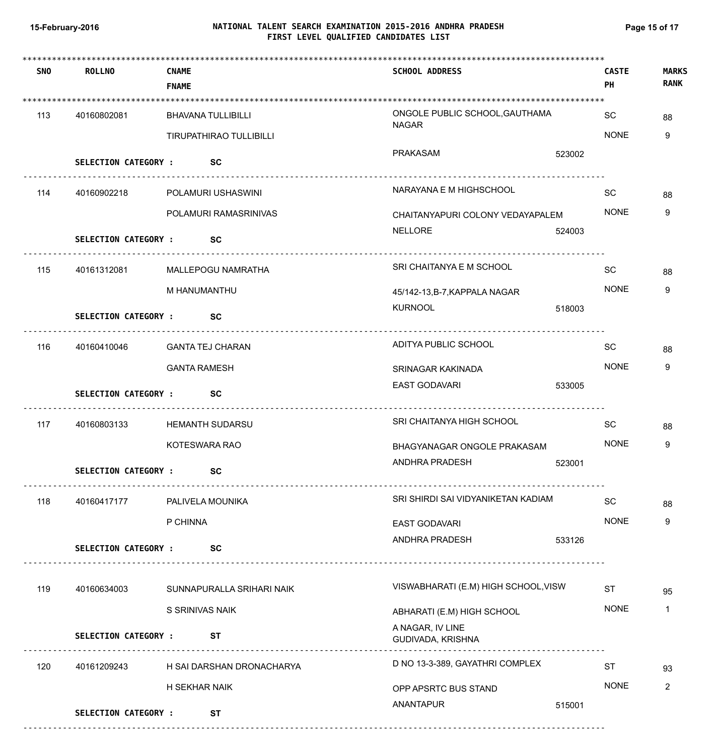# **NATIONAL TALENT SEARCH EXAMINATION 2015-2016 ANDHRA PRADESH 15-February-2016 Page 15 of 17 FIRST LEVEL QUALIFIED CANDIDATES LIST**

| <b>SNO</b> | <b>ROLLNO</b>               | <b>CNAME</b><br><b>FNAME</b> |                           | <b>SCHOOL ADDRESS</b>                          |        | <b>CASTE</b><br>PH | <b>MARKS</b><br><b>RANK</b> |
|------------|-----------------------------|------------------------------|---------------------------|------------------------------------------------|--------|--------------------|-----------------------------|
|            |                             |                              |                           |                                                |        |                    |                             |
| 113        | 40160802081                 |                              | <b>BHAVANA TULLIBILLI</b> | ONGOLE PUBLIC SCHOOL, GAUTHAMA<br><b>NAGAR</b> |        | SC                 | 88                          |
|            |                             |                              | TIRUPATHIRAO TULLIBILLI   |                                                |        | <b>NONE</b>        | 9                           |
|            | <b>SELECTION CATEGORY :</b> |                              | <b>SC</b>                 | PRAKASAM                                       | 523002 |                    |                             |
| 114        | 40160902218                 |                              | POLAMURI USHASWINI        | NARAYANA E M HIGHSCHOOL                        |        | SC                 | 88                          |
|            |                             |                              | POLAMURI RAMASRINIVAS     | CHAITANYAPURI COLONY VEDAYAPALEM               |        | <b>NONE</b>        | 9                           |
|            | <b>SELECTION CATEGORY :</b> |                              | <b>SC</b>                 | NELLORE                                        | 524003 |                    |                             |
| 115        | 40161312081                 |                              | MALLEPOGU NAMRATHA        | SRI CHAITANYA E M SCHOOL                       |        | SC                 | 88                          |
|            |                             | M HANUMANTHU                 |                           | 45/142-13, B-7, KAPPALA NAGAR                  |        | <b>NONE</b>        | 9                           |
|            | <b>SELECTION CATEGORY :</b> |                              | <b>SC</b>                 | <b>KURNOOL</b>                                 | 518003 |                    |                             |
| 116        | 40160410046                 |                              | GANTA TEJ CHARAN          | ADITYA PUBLIC SCHOOL                           |        | SC                 | 88                          |
|            |                             | <b>GANTA RAMESH</b>          |                           | SRINAGAR KAKINADA                              |        | <b>NONE</b>        | 9                           |
|            | SELECTION CATEGORY : SC     |                              |                           | EAST GODAVARI                                  | 533005 |                    |                             |
| 117        | 40160803133                 |                              | <b>HEMANTH SUDARSU</b>    | SRI CHAITANYA HIGH SCHOOL                      |        | SC                 | 88                          |
|            |                             | KOTESWARA RAO                |                           | BHAGYANAGAR ONGOLE PRAKASAM                    |        | <b>NONE</b>        | 9                           |
|            | <b>SELECTION CATEGORY :</b> |                              | SC                        | ANDHRA PRADESH                                 | 523001 |                    |                             |
| 118        | 40160417177                 |                              | PALIVELA MOUNIKA          | SRI SHIRDI SAI VIDYANIKETAN KADIAM             |        | <b>SC</b>          | 88                          |
|            |                             | P CHINNA                     |                           | <b>EAST GODAVARI</b>                           |        | <b>NONE</b>        | 9                           |
|            | <b>SELECTION CATEGORY :</b> |                              | <b>SC</b>                 | ANDHRA PRADESH                                 | 533126 |                    |                             |
| 119        | 40160634003                 |                              | SUNNAPURALLA SRIHARI NAIK | VISWABHARATI (E.M) HIGH SCHOOL, VISW           |        | <b>ST</b>          | 95                          |
|            |                             | S SRINIVAS NAIK              |                           | ABHARATI (E.M) HIGH SCHOOL                     |        | <b>NONE</b>        | $\mathbf{1}$                |
|            | <b>SELECTION CATEGORY :</b> |                              | <b>ST</b>                 | A NAGAR, IV LINE<br>GUDIVADA, KRISHNA          |        |                    |                             |
| 120        | 40161209243                 |                              | H SAI DARSHAN DRONACHARYA | D NO 13-3-389, GAYATHRI COMPLEX                |        | <b>ST</b>          | 93                          |
|            |                             | H SEKHAR NAIK                |                           | OPP APSRTC BUS STAND                           |        | <b>NONE</b>        | 2                           |
|            | <b>SELECTION CATEGORY :</b> |                              | <b>ST</b>                 | ANANTAPUR                                      | 515001 |                    |                             |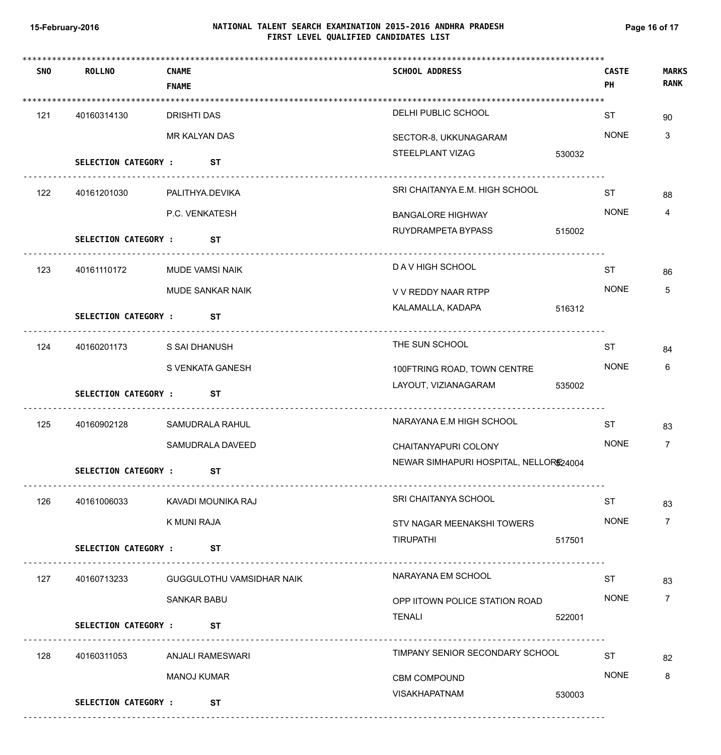# **NATIONAL TALENT SEARCH EXAMINATION 2015-2016 ANDHRA PRADESH 15-February-2016 Page 16 of 17 FIRST LEVEL QUALIFIED CANDIDATES LIST**

| <b>SNO</b> | <b>ROLLNO</b>               | <b>CNAME</b><br><b>FNAME</b>     | <b>SCHOOL ADDRESS</b>                  |        | <b>CASTE</b><br><b>PH</b> | <b>MARKS</b><br><b>RANK</b> |
|------------|-----------------------------|----------------------------------|----------------------------------------|--------|---------------------------|-----------------------------|
| 121        | 40160314130                 | <b>DRISHTI DAS</b>               | DELHI PUBLIC SCHOOL                    |        | ST                        | 90                          |
|            |                             | MR KALYAN DAS                    | SECTOR-8, UKKUNAGARAM                  |        | <b>NONE</b>               | 3                           |
|            | <b>SELECTION CATEGORY :</b> | ST                               | STEELPLANT VIZAG                       | 530032 |                           |                             |
| 122        | 40161201030                 | PALITHYA.DEVIKA                  | SRI CHAITANYA E.M. HIGH SCHOOL         |        | <b>ST</b>                 | 88                          |
|            |                             | P.C. VENKATESH                   | <b>BANGALORE HIGHWAY</b>               |        | <b>NONE</b>               | 4                           |
|            | <b>SELECTION CATEGORY :</b> | ST                               | RUYDRAMPETA BYPASS                     | 515002 |                           |                             |
| 123        | 40161110172                 | MUDE VAMSI NAIK                  | D A V HIGH SCHOOL                      |        | <b>ST</b>                 | 86                          |
|            |                             | <b>MUDE SANKAR NAIK</b>          | V V REDDY NAAR RTPP                    |        | <b>NONE</b>               | 5                           |
|            | <b>SELECTION CATEGORY :</b> | ST                               | KALAMALLA, KADAPA                      | 516312 |                           |                             |
| 124        | 40160201173                 | S SAI DHANUSH                    | THE SUN SCHOOL                         |        | ST                        | 84                          |
|            |                             | S VENKATA GANESH                 | 100FTRING ROAD, TOWN CENTRE            |        | <b>NONE</b>               | 6                           |
|            | <b>SELECTION CATEGORY :</b> | ST                               | LAYOUT, VIZIANAGARAM                   | 535002 |                           |                             |
| 125        | 40160902128                 | SAMUDRALA RAHUL                  | NARAYANA E.M HIGH SCHOOL               |        | <b>ST</b>                 | 83                          |
|            |                             | SAMUDRALA DAVEED                 | CHAITANYAPURI COLONY                   |        | <b>NONE</b>               | 7                           |
|            | <b>SELECTION CATEGORY:</b>  | <b>ST</b>                        | NEWAR SIMHAPURI HOSPITAL, NELLOR524004 |        |                           |                             |
| 126        | 40161006033                 | KAVADI MOUNIKA RAJ               | SRI CHAITANYA SCHOOL                   |        | <b>ST</b>                 | 83                          |
|            |                             | K MUNI RAJA                      | STV NAGAR MEENAKSHI TOWERS             |        | <b>NONE</b>               | $\overline{7}$              |
|            | <b>SELECTION CATEGORY :</b> | ST                               | <b>TIRUPATHI</b>                       | 517501 |                           |                             |
| 127        | 40160713233                 | <b>GUGGULOTHU VAMSIDHAR NAIK</b> | NARAYANA EM SCHOOL                     |        | <b>ST</b>                 | 83                          |
|            |                             | <b>SANKAR BABU</b>               | OPP IITOWN POLICE STATION ROAD         |        | <b>NONE</b>               | $\overline{7}$              |
|            | <b>SELECTION CATEGORY :</b> | ST                               | TENALI                                 | 522001 |                           |                             |
| 128        | 40160311053                 | ANJALI RAMESWARI                 | TIMPANY SENIOR SECONDARY SCHOOL        |        | <b>ST</b>                 | 82                          |
|            |                             | MANOJ KUMAR                      | <b>CBM COMPOUND</b>                    |        | <b>NONE</b>               | 8                           |
|            | <b>SELECTION CATEGORY :</b> | ST                               | <b>VISAKHAPATNAM</b>                   | 530003 |                           |                             |